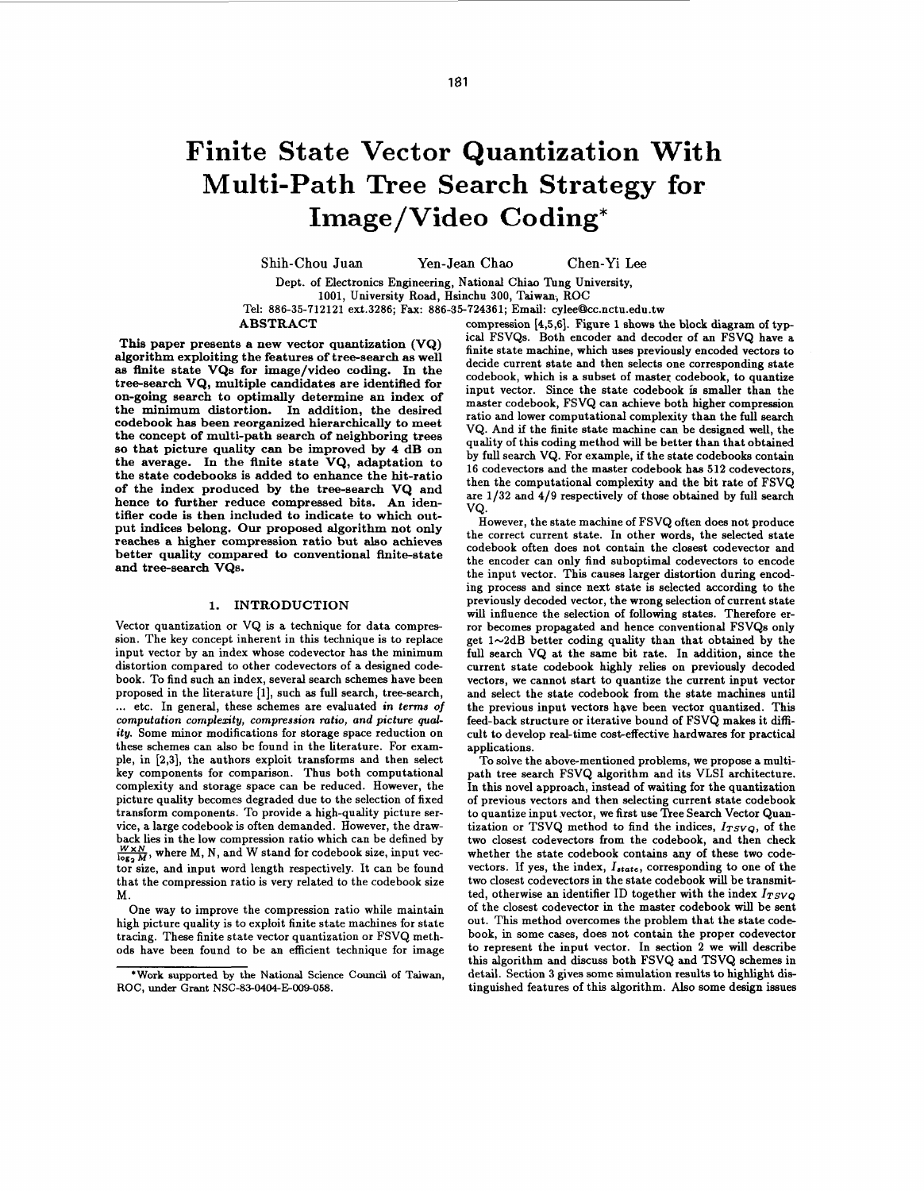# **Finite State Vector Quantization With Multi-Path Tree Search Strategy for Image/Video Coding\***

Shih-Chou Juan Yen-Jean Chao Chen-Yi Lee

Dept. of Electronics Engineering, National Chiao **Tung** University,

1001, University Road, Hsinchu 300, Taiwan; ROC

Tel: 886-35-712121 ext.3286; Fax: 886-35-724361; Email: cylee@lcc.nctu.edu.tw

**ABSTRACT** 

**This paper presents a new vector quantization (VQ) algorithm exploiting the features of tree-search as well as finite state VQs for image/video coding. In the tree-search VQ, multiple candidates are identified for on-going search to optimally determine an index of the minimum distortion. In addition, the desired codebook has been reorganized hierarchically to meet the concept of multi-path search of neighboring trees so that picture quality can be improved by 4 dB on the average. In the finite state VQ, adaptation to the state codebooks is added to enhance the hit-ratio of the index produced by the tree-search VQ and hence to further reduce compressed bits. An identifier code is then included to indicate to which output indices belong. Our proposed algorithm not only reaches a higher compression ratio but also achieves better quality compared to conventional Anite-state and tree-search VQs.** 

## **1. INTRODUCTION**

Vector quantization or VQ is a technique for data compression. The key concept inherent in this technique is to replace input vector by an index whose codevector has the minimum distortion compared to other codevectors of a designed codebook. To find such an index, several search schemes have been proposed in the literature **[l],** such **as** full search, tree-search, ... etc. **In** general, these schemes are evaluated **in terms of computation complesity, compression ratio, and picture** *qual***ity.** Some minor modifications for storage space reduction **on**  these schemes can **also** be found in the literature. For example, in [2,3], the authors exploit transforms and then select key components for comparison. Thus both computational complexity and storage space can be reduced. However, the picture quality becomes degraded due to the selection of fixed transform components. To provide a high-quality picture service, a large codebook is often demanded. However, the drawback lies in the low compression ratio which can be defined by  $\frac{W \times N}{\log_2 M}$ , where M, N, and W stand for codebook size, input vector size, and input word length respectively. It can be found that the compression ratio is very related to the codebook size M.

One way to improve the compression ratio while maintain high picture quality is to exploit finite state machines for state tracing. These finite state vector quantization or FSVQ methods have been found to be an efficient technique for image

compression [4,5,6]. Figure 1 shows the block diagram of typ ical FSVQs. Both encoder and decoder of an FSVQ have a finite state machine, which **uses** previously encoded vectors to decide current state and then selects one corresponding state codebook, which is a subset of master codebook, to quantize input vector. Since the state codebook is smaller than the master codebook, FSVQ can achieve both higher compression ratio and lower computational complexity than the full search VQ. And if the finite state machine can be designed well, the quality of this coding method will be better than that obtained by full search VQ. For example, if the state codebooks contain 16 codevectors and the master codebook has 512 codevectors, then the computational complexity and the bit rate of FSVQ are 1/32 and **4/9** respectively of those obtained by full search VQ.

However, the state machine of FSVQ often does not produce the correct current state. In other words, the selected state codebook often does not contain the closest codevector and the encoder can only find suboptimal codevectors to encode the input vector. This causes larger distortion during encoding process and since next state is selected according to the previously decoded vector, the wrong selection of current state will influence the selection of following states. Therefore error becomes propagated and hence conventional FSVQs only get  $1 \sim 2$ dB better coding quality than that obtained by the full search VQ at the same bit rate. In addition, since the current state codebook highly relies **on** previously decoded vectors, we cannot start to quantize the current input vector and select the state codebook from the state machines until the previous input vectors have been vector quantized. This feed-back structure or iterative bound of FSVQ makes it difficult to develop real-time cost-effective hardwares for practical applications.

To solve the above-mentioned problems, we propose a multipath tree search FSVQ algorithm and its VLSI architecture. In this novel approach, instead of waiting for the quantization of previous vectors and then selecting current state codebook to quantize input vector, we first use Tree Search Vector Quantization or TSVQ method to find the indices, *ITSVQ,* of the two closest codevectors from the codebook, and then check whether the state codebook contains any of these two codevectors. If yes, the index,  $I_{state}$ , corresponding to one of the two closest codevectors in the state codebook will be transmitted, otherwise **an** identifier ID together with the index *ITSVQ*  of the closest codevector in the master codebook will be sent out. This method overcomes the problem that the state codebook, in some cases, does not contain the proper codevector to represent the input vector. In section **2** we will describe this algorithm and discuss both FSVQ and TSVQ schemes in detail. Section 3 gives some simulation results to highlight die tinguished features of this algorithm. *Also* some design issues

**<sup>&#</sup>x27;Work supported by the National Science** Council **of Taiwan,**  ROC, under Grant NSC-83-0404-E-009-058.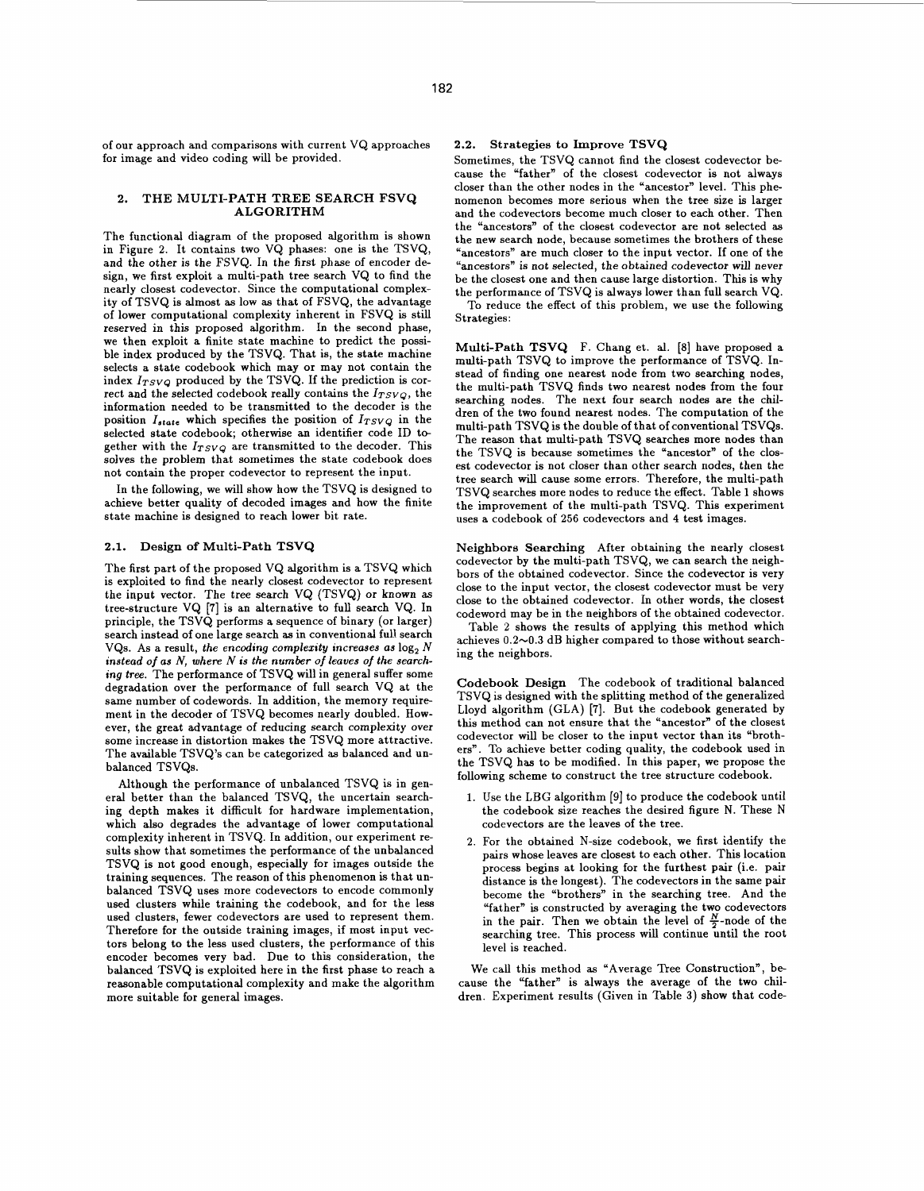of our approach and comparisons with current VQ approaches for image and video coding will be provided.

## **2. THE MULTI-PATH TREE SEARCH FSVQ ALGORITHM**

The functional diagram of the proposed algorithm is shown in Figure **2.** It contains two VQ phases: one is the TSVQ, and the other is the FSVQ. In the first phase of encoder design, we first exploit a multi-path tree search VQ to find the nearly closest codevector. Since the computational complexity of TSVQ is almost **as** low **as** that of FSVQ, the advantage of lower computational complexity inherent in FSVQ is still reserved in this proposed algorithm. In the second phase, we then exploit a finite state machine to predict the possible index produced by the TSVQ. That is, the state machine selects a state codebook which may or may not contain the index  $I_{TSVQ}$  produced by the TSVQ. If the prediction is correct and the selected codebook really contains the  $I_{TSVO}$ , the information needed to be transmitted to the decoder is the position  $I_{state}$  which specifies the position of  $I_{TSVQ}$  in the selected state codebook; otherwise an identifier code ID together with the *ITSVQ* are transmitted to the decoder. This solves the problem that sometimes the state codebook does not contain the proper codevector to represent the input.

In the following, we will show how the TSVQ is designed to achieve better quality of decoded images and how the finite state machine is designed to reach lower bit rate.

## **2.1. Design of Multi-Path TSVQ**

The first part of the proposed VQ algorithm is a TSVQ which is exploited to find the nearly closest codevector to represent the input vector. The tree search VQ (TSVQ) or known **as**  tree-structure VQ **[7]** is an alternative to full search VQ. In principle, the TSVQ performs a sequence of binary (or larger) search instead of one large search **as** in conventional full search VQs. As a result, **the encoding complexity increases as** log, *N*  **instead** *of* **as** *N,* **where** *N is* **the number** *of* **leaues** *of* **the searching tree.** The performance of TSVQ will in general suffer some degradation over the performance of full search VQ at the same number of codewords. In addition, the memory requirement in the decoder of TSVQ becomes nearly doubled. However, the great advantage of reducing search complexity over some increase in distortion makes the TSVQ more attractive. The available TSVQ's can be categorized **as** balanced and unbalanced TSVQs.

Although the performance of unbalanced TSVQ is in general better than the balanced TSVQ, the uncertain searching depth makes it difficult for hardware implementation, which also degrades the advantage of lower computational complexity inherent in TSVQ. In addition, our experiment results show that sometimes the performance of the unbalanced TSVQ is not good enough, especially for images outside the training sequences. The reason of this phenomenon is that unbalanced TSVQ uses more codevectors to encode commonly used clusters while training the codebook, and for the less used clusters, fewer codevectors are used to represent them. Therefore for the outside training images, if most input vectors belong to the less used clusters, the performance of this encoder becomes very bad. Due to this consideration, the balanced TSVQ is exploited here in the first phase to reach a reasonable computational complexity and make the algorithm more suitable for general images.

## **2.2. Strategies to Improve TSVQ**

Sometimes, the TSVQ cannot find the closest codevector because the "father" of the closest codevector is not always closer than the other nodes in the "ancestor" level. This phenomenon becomes more serious when the tree size is larger and the codevectors become much closer to each other. Then the "ancestors" of the closest codevector are not selected **as**  the new search node, because sometimes the brothers of these "ancestors" are much closer to the input vector. If one of the "ancestors" is not selected, the obtained codevector will never be the closest one and then cause large distortion. This is why the performance of TSVQ is always lower than full search VQ. To reduce the effect of this problem, we use the following Strategies:

**Multi-Path TSVQ** F. Chang et. al. [8] have proposed a multi-path TSVQ to improve the performance of TSVQ. Instead of finding one nearest node from two searching nodes, the multi-path TSVQ finds two nearest nodes from the four searching nodes. The next four search nodes are the children of the two found nearest nodes. The computation of the multi-path TSVQ is the double of that of conventional TSVQs. The reason that multi-path TSVQ searches more nodes than the TSVQ is because sometimes the "ancestor" of the closest codevector is not closer than other search nodes, then the tree search will cause some errors. Therefore, the multi-path TSVQ searches more nodes to reduce the effect. [Table 1](#page-3-0) shows the improvement of the multi-path TSVQ. This experiment uses a codebook of **256** codevectors and **4** test images.

**Neighbors Searching** After obtaining the nearly closest codevector by the multi-path TSVQ, we can search the neighbors of the obtained codevector. Since the codevector is very close to the input vector, the closest codevector must be very close to the obtained codevector. In other words, the closest codeword may be in the neighbors of the obtained codevector.

[Table](#page-3-0) **2** shows the results of applying this method which achieves **0.2-0.3** dB higher compared to those without searching the neighbors.

**Codebook Design** The codebook of traditional balanced TSVQ is designed with the splitting method of the generalized Lloyd algorithm (GLA) **[7].** But the codebook generated by this method can not ensure that the "ancestor" of the closest codevector will be closer to the input vector than its "brothers". To achieve better coding quality, the codebook used in the TSVQ has to be modified. In this paper, we propose the following scheme to construct the tree structure codebook.

- 1. Use the LBG algorithm **[9]** to produce the codebook until the codebook size reaches the desired figure **N.** These N codevectors are the leaves of the tree.
- **2.** For the obtained N-size codebook, we first identify the pairs whose leaves are closest to each other. This location process begins at looking for the furthest pair (i.e. pair distance is the longest). The codevectors in the same pair become the "brothers" in the searching tree. And the "father" is constructed by averaging the two codevectors in the pair. Then we obtain the level of  $\frac{N}{2}$ -node of the searching tree. This process will continue until the root level is reached.

We call this method **as** "Average Tree Construction", because the "father" is always the average of the two children. Experiment results (Given in Table **3)** show that code-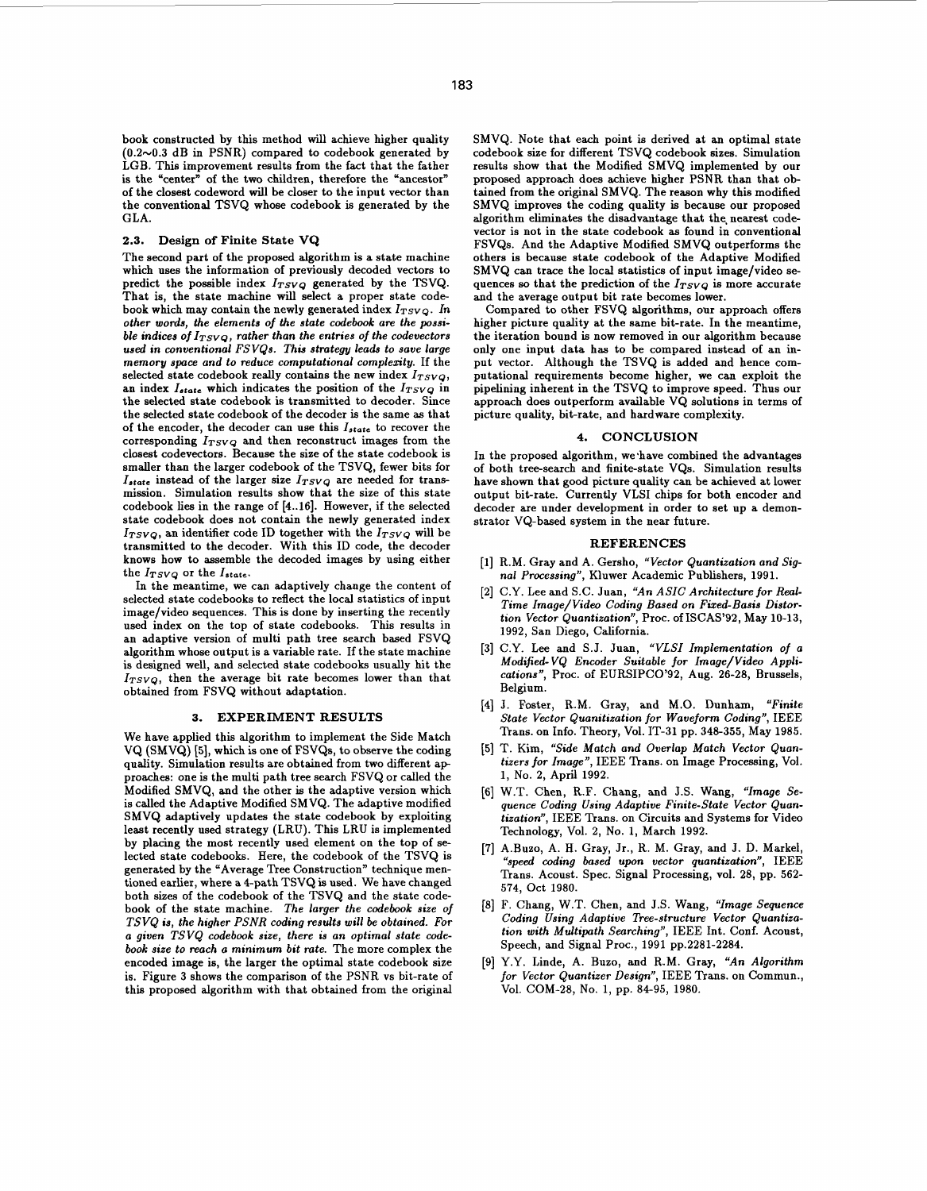book constructed by this method will achieve higher quality (0.2~0.3 dB in PSNR) compared to codebook generated by LGB. This improvement results from the fact that the father is the "center" of the two children, therefore the "ancestor" of the closest codeword will be closer to the input vector than the conventional TSVQ whose codebook is generated by the GLA.

## **2.3. Design of Finite State VQ**

The second part of the proposed algorithm is a state machine which uses the information of previously decoded vectors to predict the possible index  $I_{TSVQ}$  generated by the TSVQ. That is, the state machine will select a proper state codebook which may contain the newly generated index  $I_{TSVQ}$ . In **other words, the elements** *of* **the state codebook are the possi** $b$ le indices of  $I_{TSVQ}$ , rather than the entries of the codevectors **used in conventional FSVQs. This strategy leads** *to* **save large memory space and** *to* **reduce computational complexity.** If the selected state codebook really contains the new index  $I_{TSVQ}$ , an index  $I_{state}$  which indicates the position of the  $I_{TSVQ}$  in the selected state codebook is transmitted to decoder. Since the selected state codebook of the decoder is the same **as** that **of** the encoder, the decoder can use this **Istate** to recover the corresponding  $I_{TSVQ}$  and then reconstruct images from the closest codevectors. Because the size of the state codebook is smaller than the larger codebook of the TSVQ, fewer bits for  $I_{state}$  instead of the larger size  $I_{TSVQ}$  are needed for transmission. Simulation results show that the size of this state codebook lies in the range of [4..16]. However, if the selected state codebook does not contain the newly generated index  $I_{TSVO}$ , an identifier code ID together with the  $I_{TSVO}$  will be transmitted to the decoder. With this ID code, the decoder knows how to assemble the decoded images by using either the  $I_{TSVQ}$  or the  $I_{state}$ .

In the meantime, we can adaptively change the content of selected state codebooks to reflect the local statistics of input image/video sequences. This is done by inserting the recently used index on the top of state codebooks. This results in an adaptive version of multi path tree search based FSVQ algorithm whose output is a variable rate. If the state machine is designed well, and selected state codebooks usually hit the  $I_{TSVQ}$ , then the average bit rate becomes lower than that obtained from FSVQ without adaptation.

## **3. EXPERIMENT RESULTS**

We have applied this algorithm to implement the Side Match VQ (SMVQ) [5], which is one of FSVQs, to observe the coding quality. Simulation results are obtained from two different ap proaches: one is the multi path tree search FSVQ or called the Modified SMVQ, and the other is the adaptive version which is called the Adaptive Modified SMVQ. The adaptive modified SMVQ adaptively updates the state codebook by exploiting least recently used strategy (LRU). This LRU is implemented by placing the most recently used element **on** the top of selected state codebooks. Here, the codebook of the TSVQ is generated by the "Average Tree Construction" technique mentioned earlier, where a 4-path TSVQ is used. We have changed both sizes of the codebook of the TSVQ and the state codebook of the state machine. **The larger the codebook size of TSVQ is, the higher** *PSNR* **coding results will be obtained. For a given TSVQ codebook size, there** *is* **an optimal state codebook size** *to* **reach a minimum bit rate.** The more complex the encoded image is, the larger the optimal state codebook size is. Figure 3 shows the comparison of the PSNR vs bit-rate of this proposed algorithm with that obtained from the original SMVQ. Note that each point is derived at an optimal state codebook size for different TSVQ codebook sizes. Simulation results show that the Modified SMVQ implemented by our proposed approach does achieve higher PSNR than that obtained from the original SMVQ. The reason why this modified SMVQ improves the coding quality is because our proposed algorithm eliminates the disadvantage that the, nearest codevector is not in the state codebook **as** found in conventional FSVQs. And the Adaptive Modified SMVQ outperforms the others is because state codebook of the Adaptive Modified SMVQ can trace the local statistics of input image/video **se**quences so that the prediction of the  $I_{TSVQ}$  is more accurate and the average output bit rate becomes lower.

Compared to other FSVQ algorithms, our approach offers higher picture quality at the same bit-rate. In the meantime, the iteration bound is now removed in our algorithm because only one input data has to be compared instead of an input vector. Although the TSVQ is added and hence computational requirements become higher, we can exploit the pipelining inherent in the TSVQ to improve speed. Thus our approach does outperform available VQ solutions in terms of picture quality, bit-rate, and hardware complexity.

## **4. CONCLUSION**

In the proposed algorithm, we have combined the advantages of both tree-search and finite-state VQs. Simulation results have shown that **good** picture quality can be achieved at lower output bit-rate. Currently VLSI chips for both encoder and decoder are under development in order to set up a demonstrator VQ-based system in the near future.

#### **REFERENCES**

- [1] R.M. Gray and A. Gersho, "Vector Quantization and Sia**nal Processing",** Kluwer Academic Publishers, 1991.
- [2] C.Y. Lee and S.C. Juan, "An ASIC Architecture for Real-**Time Image/Viden Coding Based on Fixed-Basis Distortion Vector Quantization",** Proc. of ISCAS'92, May 10-13, 1992, San Diego, California.
- C.Y. **Lee** and S.J. Juan, **"VLSI Implementation** *of* **a Modified- VQ Encoder Suitable for Image/Video Applications",** Proc. of EURSIPCO'92, Aug. 26-28, Brussels, Belgium.
- [4] J. Foster, R.M. Gray, and M.O. Dunham, "Finite **State Vector Quanitization for Waveform Coding",** IEEE Trans. **on** Info. Theory, Vol. IT-31 pp. 348-355, May 1985.
- [5] T. Kim, "Side Match and Overlap Match Vector Quan**tizers for Image",** IEEE 'Ikans. **on** Image Processing, Vol. 1, No. 2, April 1992.
- W.T. Chen, R.F. Chang, and J.S. Wang, **"Image Sequence Coding Using Adaptive Finite-State Vector Quantization",** IEEE Trans. on Circuits and Systems for Video Technology, Vol. 2, No. 1, March 1992.
- A.Buzo, A. H. Gray, Jr., R. M. Gray, and J. D. Markel, **"speed coding based upon vector quantization",** IEEE Trans. Acoust. Spec. Signal Processing, vol. 28, pp. 562- 574, Oct 1980.
- F. Chang, W.T. Chen, and J.S. Wang, **"Image Sequence Coding Using Adaptive Tree-structure Vector Quantization with Multipath Searching",** IEEE Int. Conf. Acoust, Speech, and Signal Proc., 1991 pp.2281-2284.
- Y.Y. Linde, A. BUZO, and R.M. Gray, **"An Algorithm for Vector Quantizer Design",** IEEE Trans. **on** Commun., Vol. COM-28, No. 1, pp. 84-95, 1980.